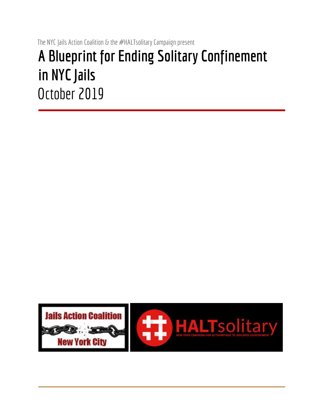# The NYC Jails Action Coalition & the #HALTsolitary Campaign present **A Blueprint for Ending Solitary Confinement in NYC Jails** October 2019

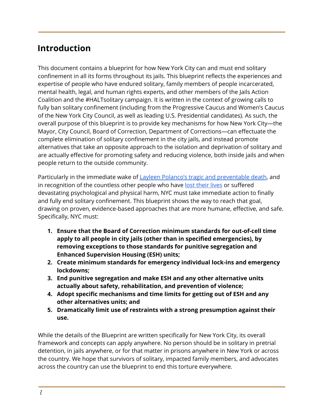# **Introduction**

This document contains a blueprint for how New York City can and must end solitary confinement in all its forms throughout its jails. This blueprint reflects the experiences and expertise of people who have endured solitary, family members of people incarcerated, mental health, legal, and human rights experts, and other members of the Jails Action Coalition and the #HALTsolitary campaign. It is written in the context of growing calls to fully ban solitary confinement (including from the Progressive Caucus and Women's Caucus of the New York City Council, as well as leading U.S. Presidential candidates). As such, the overall purpose of this blueprint is to provide key mechanisms for how New York City—the Mayor, City Council, Board of Correction, Department of Corrections—can effectuate the complete elimination of solitary confinement in the city jails, and instead promote alternatives that take an opposite approach to the isolation and deprivation of solitary and are actually effective for promoting safety and reducing violence, both inside jails and when people return to the outside community.

Particularly in the immediate wake o[f](https://thecity.nyc/2019/07/layleen-polanco-died-of-seizure-in-solitary-autopsy-reveals.html) Layleen Polanco's tragic and [preventable](https://thecity.nyc/2019/07/layleen-polanco-died-of-seizure-in-solitary-autopsy-reveals.html) death, and in recognition of the count[l](https://www.newyorker.com/news/news-desk/kalief-browder-1993-2015)ess other people who have lost [their](https://www.newyorker.com/news/news-desk/kalief-browder-1993-2015) lives or suffered devastating psychological and physical harm, NYC must take immediate action to finally and fully end solitary confinement. This blueprint shows the way to reach that goal, drawing on proven, evidence-based approaches that are more humane, effective, and safe. Specifically, NYC must:

- **1. Ensure that the Board of Correction minimum standards for out-of-cell time apply to all people in city jails (other than in specified emergencies), by removing exceptions to those standards for punitive segregation and Enhanced Supervision Housing (ESH) units;**
- **2. Create minimum standards for emergency individual lock-ins and emergency lockdowns;**
- **3. End punitive segregation and make ESH and any other alternative units actually about safety, rehabilitation, and prevention of violence;**
- **4. Adopt specific mechanisms and time limits for getting out of ESH and any other alternatives units; and**
- **5. Dramatically limit use of restraints with a strong presumption against their use.**

While the details of the Blueprint are written specifically for New York City, its overall framework and concepts can apply anywhere. No person should be in solitary in pretrial detention, in jails anywhere, or for that matter in prisons anywhere in New York or across the country. We hope that survivors of solitary, impacted family members, and advocates across the country can use the blueprint to end this torture everywhere.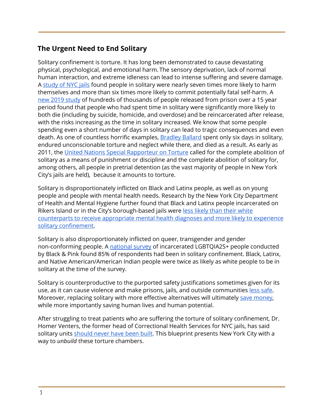### **The Urgent Need to End Solitary**

Solitary confinement is torture. It has long been demonstrated to cause devastating physical, psychological, and emotional harm. The sensory deprivation, lack of normal human interaction, and extreme idleness can lead to intense suffering and severe damage. A [study](https://solitarywatch.org/wp-content/uploads/2013/11/Gilligan-Report.-Final.pdf) of NYC jails found people in solitary were nearly seven times more likely to harm themselves and more than six times more likely to commit potentially fatal self-harm. [A](https://jamanetwork.com/journals/jamanetworkopen/fullarticle/2752350) new 2019 [study](https://jamanetwork.com/journals/jamanetworkopen/fullarticle/2752350) of hundreds of thousands of people released from prison over a 15 year period found that people who had spent time in solitary were significantly more likely to both die (including by suicide, homicide, and overdose) and be reincarcerated after release, with the risks increasing as the time in solitary increased. We know that some people spending even a short number of days in solitary can lead to tragic consequences and even death. As one of countless horrific examples, [Bradley](https://medium.com/@djj2125/new-york-city-pays-record-5-75-million-to-family-of-rikers-inmate-bradley-ballard-d41b7a678a57) Ballard spent only six days in solitary, endured unconscionable torture and neglect while there, and died as a result. As early as 2011, the United Nations Special [Rapporteur](http://solitaryconfinement.org/uploads/SpecRapTortureAug2011.pdf) on Torture called for the complete abolition of solitary as a means of punishment or discipline and the complete abolition of solitary for, among others, all people in pretrial detention (as the vast majority of people in New York City's jails are held), because it amounts to torture.

Solitary is disproportionately inflicted on Black and Latinx people, as well as on young people and people with mental health needs. Research by the New York City Department of Health and Mental Hygiene further found that Black and Latinx people incarcerated on Rikers Island or in the City's borough-based jails wer[e](https://ajph.aphapublications.org/doi/full/10.2105/AJPH.2015.302699) less likely than their [white](https://ajph.aphapublications.org/doi/full/10.2105/AJPH.2015.302699) [counterparts](https://ajph.aphapublications.org/doi/full/10.2105/AJPH.2015.302699) to receive appropriate mental health diagnoses and more likely to experience solitary [confinement.](https://ajph.aphapublications.org/doi/full/10.2105/AJPH.2015.302699)

Solitary is also disproportionately inflicted on queer, transgender and gender non-conforming people. A [national](https://www.blackandpink.org/coming-out-of-concrete-closets) survey of incarcerated LGBTQIA2S+ people conducted by Black & Pink found 85% of respondents had been in solitary confinement. Black, Latinx, and Native American/American Indian people were twice as likely as white people to be in solitary at the time of the survey.

Solitary is counterproductive to the purported safety justifications sometimes given for its use, as it can cause violence and make prisons, jails, and outside communities [l](https://www.prisonlegalnews.org/news/2018/jan/8/solitary-streets-studies-find-such-releases-result-higher-recidivism-rates-violent-behavior/)ess [safe.](https://www.prisonlegalnews.org/news/2018/jan/8/solitary-streets-studies-find-such-releases-result-higher-recidivism-rates-violent-behavior/) Moreover, replacing solitar[y](https://academic.oup.com/jpubhealth/article/27/2/143/1595764/) with more effective alternatives will ultimately save [money,](https://academic.oup.com/jpubhealth/article/27/2/143/1595764/) while more importantly saving human lives and human potential.

After struggling to treat patients who are suffering the torture of solitary confinement, Dr. Homer Venters, the former head of Correctional Health Services for NYC jails, has said solitary units [should](https://www.npr.org/sections/health-shots/2019/03/18/704424675/former-physician-at-rikers-island-exposes-health-risks-of-incarceration) never have been built. This blueprint presents New York City with a way to *unbuild* these torture chambers.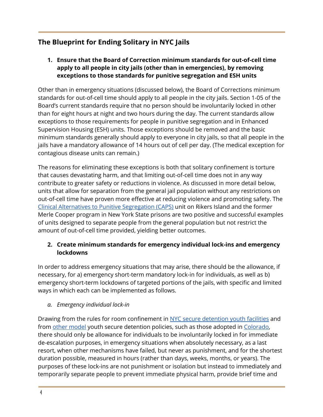## **The Blueprint for Ending Solitary in NYC Jails**

**1. Ensure that the Board of Correction minimum standards for out-of-cell time apply to all people in city jails (other than in emergencies), by removing exceptions to those standards for punitive segregation and ESH units**

Other than in emergency situations (discussed below), the Board of Corrections minimum standards for out-of-cell time should apply to all people in the city jails. Section 1-05 of the Board's current standards require that no person should be involuntarily locked in other than for eight hours at night and two hours during the day. The current standards allow exceptions to those requirements for people in punitive segregation and in Enhanced Supervision Housing (ESH) units. Those exceptions should be removed and the basic minimum standards generally should apply to everyone in city jails, so that all people in the jails have a mandatory allowance of 14 hours out of cell per day. (The medical exception for contagious disease units can remain.)

The reasons for eliminating these exceptions is both that solitary confinement is torture that causes devastating harm, and that limiting out-of-cell time does not in any way contribute to greater safety or reductions in violence. As discussed in more detail below, units that allow for separation from the general jail population without any restrictions on out-of-cell time have proven more effective at reducing violence and promoting safety. The Clinical Alternatives to Punitive [Segregation](https://www.ncbi.nlm.nih.gov/pmc/articles/PMC4772202/) (CAPS) unit on Rikers Island and the former Merle Cooper program in New York State prisons are two positive and successful examples of units designed to separate people from the general population but not restrict the amount of out-of-cell time provided, yielding better outcomes.

#### **2. Create minimum standards for emergency individual lock-ins and emergency lockdowns**

In order to address emergency situations that may arise, there should be the allowance, if necessary, for a) emergency short-term mandatory lock-in for individuals, as well as b) emergency short-term lockdowns of targeted portions of the jails, with specific and limited ways in which each can be implemented as follows.

#### *a. Emergency individual lock-in*

Drawing from the rules for room confinement in NYC secure [detention](https://www1.nyc.gov/assets/acs/policies/init/2016/B.pdf) youth facilities and fro[m](http://www.stopsolitaryforkids.org/wp-content/uploads/2019/06/Not-In-Isolation-Final.pdf) other [model](http://www.stopsolitaryforkids.org/wp-content/uploads/2019/06/Not-In-Isolation-Final.pdf) youth secure detention policies, such as those adopted in [Colorado,](https://leg.colorado.gov/sites/default/files/2016a_1328_signed.pdf) there should only be allowance for individuals to be involuntarily locked in for immediate de-escalation purposes, in emergency situations when absolutely necessary, as a last resort, when other mechanisms have failed, but never as punishment, and for the shortest duration possible, measured in hours (rather than days, weeks, months, or years). The purposes of these lock-ins are not punishment or isolation but instead to immediately and temporarily separate people to prevent immediate physical harm, provide brief time and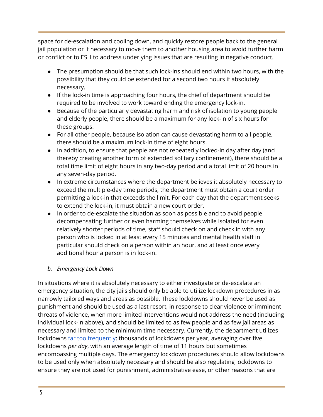space for de-escalation and cooling down, and quickly restore people back to the general jail population or if necessary to move them to another housing area to avoid further harm or conflict or to ESH to address underlying issues that are resulting in negative conduct.

- The presumption should be that such lock-ins should end within two hours, with the possibility that they could be extended for a second two hours if absolutely necessary.
- If the lock-in time is approaching four hours, the chief of department should be required to be involved to work toward ending the emergency lock-in.
- Because of the particularly devastating harm and risk of isolation to young people and elderly people, there should be a maximum for any lock-in of six hours for these groups.
- For all other people, because isolation can cause devastating harm to all people, there should be a maximum lock-in time of eight hours.
- In addition, to ensure that people are not repeatedly locked-in day after day (and thereby creating another form of extended solitary confinement), there should be a total time limit of eight hours in any two-day period and a total limit of 20 hours in any seven-day period.
- In extreme circumstances where the department believes it absolutely necessary to exceed the multiple-day time periods, the department must obtain a court order permitting a lock-in that exceeds the limit. For each day that the department seeks to extend the lock-in, it must obtain a new court order.
- In order to de-escalate the situation as soon as possible and to avoid people decompensating further or even harming themselves while isolated for even relatively shorter periods of time, staff should check on and check in with any person who is locked in at least every 15 minutes and mental health staff in particular should check on a person within an hour, and at least once every additional hour a person is in lock-in.

#### *b. Emergency Lock Down*

In situations where it is absolutely necessary to either investigate or de-escalate an emergency situation, the city jails should only be able to utilize lockdown procedures in as narrowly tailored ways and areas as possible. These lockdowns should never be used as punishment and should be used as a last resort, in response to clear violence or imminent threats of violence, when more limited interventions would not address the need (including individual lock-in above), and should be limited to as few people and as few jail areas as necessary and limited to the minimum time necessary. Currently, the department utilizes lockdowns far too [frequently](https://www1.nyc.gov/assets/boc/downloads/pdf/Reports/BOC-Reports/Lockdown%20Report%202019_5.13.19_FINAL.pdf): thousands of lockdowns per year, averaging over five lockdowns *per day*, with an average length of time of 11 hours but sometimes encompassing multiple days. The emergency lockdown procedures should allow lockdowns to be used only when absolutely necessary and should be also regulating lockdowns to ensure they are not used for punishment, administrative ease, or other reasons that are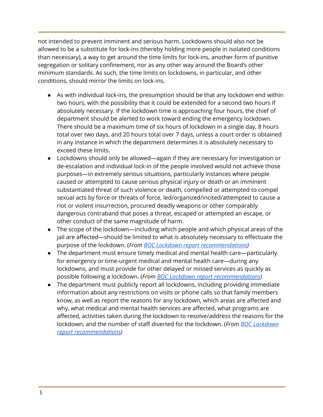not intended to prevent imminent and serious harm. Lockdowns should also not be allowed to be a substitute for lock-ins (thereby holding more people in isolated conditions than necessary), a way to get around the time limits for lock-ins, another form of punitive segregation or solitary confinement, nor as any other way around the Board's other minimum standards. As such, the time limits on lockdowns, in particular, and other conditions, should mirror the limits on lock-ins.

- As with individual lock-ins, the presumption should be that any lockdown end within two hours, with the possibility that it could be extended for a second two hours if absolutely necessary. If the lockdown time is approaching four hours, the chief of department should be alerted to work toward ending the emergency lockdown. There should be a maximum time of six hours of lockdown in a single day, 8 hours total over two days, and 20 hours total over 7 days, unless a court order is obtained in any instance in which the department determines it is absolutely necessary to exceed these limits.
- Lockdowns should only be allowed—again if they are necessary for investigation or de-escalation and individual lock-in of the people involved would not achieve those purposes—in extremely serious situations, particularly instances where people caused or attempted to cause serious physical injury or death or an imminent substantiated threat of such violence or death, compelled or attempted to compel sexual acts by force or threats of force, led/organized/incited/attempted to cause a riot or violent insurrection, procured deadly weapons or other comparably dangerous contraband that poses a threat, escaped or attempted an escape, or other conduct of the same magnitude of harm.
- The scope of the lockdown—including which people and which physical areas of the jail are affected—should be limited to what is absolutely necessary to effectuate the purpose of the lockdown. (*From [B](https://www1.nyc.gov/assets/boc/downloads/pdf/Reports/BOC-Reports/Lockdown%20Report%202019_5.13.19_FINAL.pdf)OC Lockdown report [recommendations\)](https://www1.nyc.gov/assets/boc/downloads/pdf/Reports/BOC-Reports/Lockdown%20Report%202019_5.13.19_FINAL.pdf)*
- The department must ensure timely medical and mental health care—particularly for emergency or time-urgent medical and mental health care—during any lockdowns, and must provide for other delayed or missed services as quickly as possible following a lockdown. (*Fro[m](https://www1.nyc.gov/assets/boc/downloads/pdf/Reports/BOC-Reports/Lockdown%20Report%202019_5.13.19_FINAL.pdf) BOC Lockdown report [recommendations](https://www1.nyc.gov/assets/boc/downloads/pdf/Reports/BOC-Reports/Lockdown%20Report%202019_5.13.19_FINAL.pdf))*
- The department must publicly report all lockdowns, including providing immediate information about any restrictions on visits or phone calls so that family members know, as well as report the reasons for any lockdown, which areas are affected and why, what medical and mental health services are affected, what programs are affected, activities taken during the lockdown to resolve/address the reasons for the lockdown, and the number of staff diverted for the lockdown. (*From [B](https://www1.nyc.gov/assets/boc/downloads/pdf/Reports/BOC-Reports/Lockdown%20Report%202019_5.13.19_FINAL.pdf)OC [Lockdown](https://www1.nyc.gov/assets/boc/downloads/pdf/Reports/BOC-Reports/Lockdown%20Report%202019_5.13.19_FINAL.pdf) report [recommendations](https://www1.nyc.gov/assets/boc/downloads/pdf/Reports/BOC-Reports/Lockdown%20Report%202019_5.13.19_FINAL.pdf))*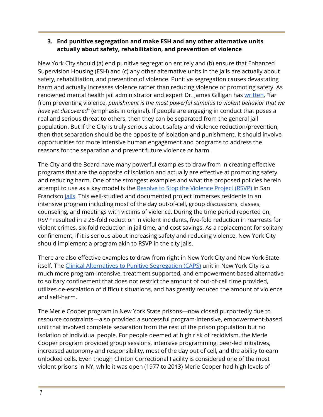#### **3. End punitive segregation and make ESH and any other alternative units actually about safety, rehabilitation, and prevention of violence**

New York City should (a) end punitive segregation entirely and (b) ensure that Enhanced Supervision Housing (ESH) and (c) any other alternative units in the jails are actually about safety, rehabilitation, and prevention of violence. Punitive segregation causes devastating harm and actually increases violence rather than reducing violence or promoting safety. As renowned mental health jail admini[s](https://books.google.com/books?id=7_06CwAAQBAJ&pg=PT9&lpg=PT9&dq=%22far+from+preventing+violence,+punishment+is+the+most+powerful+stimulus+to+violent+behavior+that+we+have+yet+discovered%E2%80%9D&source=bl&ots=O_ssZfRWpl&sig=ACfU3U1kaj_x1g5B6EYxLWOf_8t4967u_g&hl=en&sa=X&ved=2ahUKEwizo7WtlP3jAhWGo1kKHW5kAwMQ6AEwAHoECAAQAQ#v=onepage&q=%22far%20from%20preventing%20violence%2C%20punishment%20is%20the%20most%20powerful%20stimulus%20to%20violent%20behavior%20that%20we%20have%20yet%20discovered%E2%80%9D&f=false)trator and expert Dr. James Gilligan has [written](https://books.google.com/books?id=7_06CwAAQBAJ&pg=PT9&lpg=PT9&dq=%22far+from+preventing+violence,+punishment+is+the+most+powerful+stimulus+to+violent+behavior+that+we+have+yet+discovered%E2%80%9D&source=bl&ots=O_ssZfRWpl&sig=ACfU3U1kaj_x1g5B6EYxLWOf_8t4967u_g&hl=en&sa=X&ved=2ahUKEwizo7WtlP3jAhWGo1kKHW5kAwMQ6AEwAHoECAAQAQ#v=onepage&q=%22far%20from%20preventing%20violence%2C%20punishment%20is%20the%20most%20powerful%20stimulus%20to%20violent%20behavior%20that%20we%20have%20yet%20discovered%E2%80%9D&f=false), "far from preventing violence, *punishment is the most powerful stimulus to violent behavior that we have yet discovered*" (emphasis in original). If people are engaging in conduct that poses a real and serious threat to others, then they can be separated from the general jail population. But if the City is truly serious about safety and violence reduction/prevention, then that separation should be the opposite of isolation and punishment. It should involve opportunities for more intensive human engagement and programs to address the reasons for the separation and prevent future violence or harm.

The City and the Board have many powerful examples to draw from in creating effective programs that are the opposite of isolation and actually are effective at promoting safety and reducing harm. One of the strongest examples and what the proposed policies herein att[e](https://academic.oup.com/jpubhealth/article/27/2/149/1595844)mpt to use as a key model is the Resolve to Stop the [Violence](https://academic.oup.com/jpubhealth/article/27/2/149/1595844) Project (RSVP) in San Francisc[o](https://www.ncbi.nlm.nih.gov/m/pubmed/15820997/) *[jails](https://www.ncbi.nlm.nih.gov/m/pubmed/15820997/)*. This well-studied and documented project immerses residents in an intensive program including most of the day out-of-cell, group discussions, classes, counseling, and meetings with victims of violence. During the time period reported on, RSVP resulted in a 25-fold reduction in violent incidents, five-fold reduction in rearrests for violent crimes, six-fold reduction in jail time, and cost savings. As a replacement for solitary confinement, if it is serious about increasing safety and reducing violence, New York City should implement a program akin to RSVP in the city jails.

There are also effective examples to draw from right in New York City and New York State itself. The Clinical Alternatives to Punitive [Segregation](https://www.ncbi.nlm.nih.gov/pmc/articles/PMC4772202/) (CAPS) unit in New York City is a much more program-intensive, treatment supported, and empowerment-based alternative to solitary confinement that does not restrict the amount of out-of-cell time provided, utilizes de-escalation of difficult situations, and has greatly reduced the amount of violence and self-harm.

The Merle Cooper program in New York State prisons—now closed purportedly due to resource constraints—also provided a successful program-intensive, empowerment-based unit that involved complete separation from the rest of the prison population but no isolation of individual people. For people deemed at high risk of recidivism, the Merle Cooper program provided group sessions, intensive programming, peer-led initiatives, increased autonomy and responsibility, most of the day out of cell, and the ability to earn unlocked cells. Even though Clinton Correctional Facility is considered one of the most violent prisons in NY, while it was open (1977 to 2013) Merle Cooper had high levels of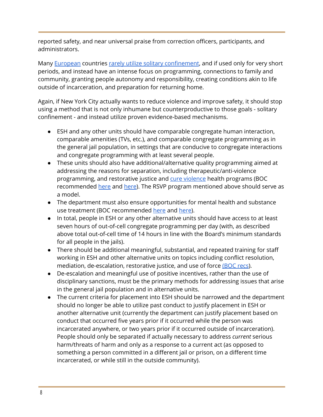reported safety, and near universal praise from correction officers, participants, and administrators.

Many **[European](http://www.nytimes.com/2015/03/29/magazine/the-radical-humaneness-of-norways-haldenprison.html?_r=0) countries rarely utilize solitary [confinement](http://www.vera.org/sites/default/files/resources/downloads/european-american-prison-report-v3.pdf)**, and if used only for very short periods, and instead have an intense focus on programming, connections to family and community, granting people autonomy and responsibility, creating conditions akin to life outside of incarceration, and preparation for returning home.

Again, if New York City actually wants to reduce violence and improve safety, it should stop using a method that is not only inhumane but counterproductive to those goals - solitary confinement - and instead utilize proven evidence-based mechanisms.

- ESH and any other units should have comparable congregate human interaction, comparable amenities (TVs, etc.), and comparable congregate programming as in the general jail population, in settings that are conducive to congregate interactions and congregate programming with at least several people.
- These units should also have additional/alternative quality programming aimed at addressing the reasons for separation, including therapeutic/anti-violence programming, and restorative justice and cure [violence](http://home2.nyc.gov/html/ceo/html/initiatives/ymi_violence.shtml) health programs (BOC recommended [here](https://www1.nyc.gov/assets/boc/downloads/pdf/Reports/BOC-Reports/FINAL-BOC-ESH_Assessment-Adults-2017.04.26.pdf) and [here\)](https://www1.nyc.gov/assets/boc/downloads/pdf/Reports/BOC-Reports/2017.07.24%20-%20FINAL%20YA%20ESH%20Report%207.24.2017.pdf). The RSVP program mentioned above should serve as a model.
- The department must also ensure opportunities for mental health and substance use treatment (BOC recommended [here](https://www1.nyc.gov/assets/boc/downloads/pdf/Reports/BOC-Reports/FINAL-BOC-ESH_Assessment-Adults-2017.04.26.pdf) and [here\)](https://www1.nyc.gov/assets/boc/downloads/pdf/Reports/BOC-Reports/2017.07.24%20-%20FINAL%20YA%20ESH%20Report%207.24.2017.pdf).
- In total, people in ESH or any other alternative units should have access to at least seven hours of out-of-cell congregate programming per day (with, as described above total out-of-cell time of 14 hours in line with the Board's minimum standards for all people in the jails).
- There should be additional meaningful, substantial, and repeated training for staff working in ESH and other alternative units on topics including conflict resolution, m[e](https://www1.nyc.gov/assets/boc/downloads/pdf/Reports/BOC-Reports/FINAL-BOC-ESH_Assessment-Adults-2017.04.26.pdf)diation, de-escalation, restorative justice, and use of force [\(BOC](https://www1.nyc.gov/assets/boc/downloads/pdf/Reports/BOC-Reports/FINAL-BOC-ESH_Assessment-Adults-2017.04.26.pdf) recs).
- De-escalation and meaningful use of positive incentives, rather than the use of disciplinary sanctions, must be the primary methods for addressing issues that arise in the general jail population and in alternative units.
- The current criteria for placement into ESH should be narrowed and the department should no longer be able to utilize past conduct to justify placement in ESH or another alternative unit (currently the department can justify placement based on conduct that occurred five years prior if it occurred while the person was incarcerated anywhere, or two years prior if it occurred outside of incarceration). People should only be separated if actually necessary to address *current* serious harm/threats of harm and only as a response to a current act (as opposed to something a person committed in a different jail or prison, on a different time incarcerated, or while still in the outside community).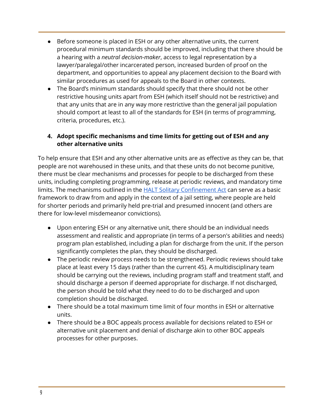- Before someone is placed in ESH or any other alternative units, the current procedural minimum standards should be improved, including that there should be a hearing with a *neutral decision-maker*, access to legal representation by a lawyer/paralegal/other incarcerated person, increased burden of proof on the department, and opportunities to appeal any placement decision to the Board with similar procedures as used for appeals to the Board in other contexts.
- The Board's minimum standards should specify that there should not be other restrictive housing units apart from ESH (which itself should not be restrictive) and that any units that are in any way more restrictive than the general jail population should comport at least to all of the standards for ESH (in terms of programming, criteria, procedures, etc.).

#### **4. Adopt specific mechanisms and time limits for getting out of ESH and any other alternative units**

To help ensure that ESH and any other alternative units are as effective as they can be, that people are not warehoused in these units, and that these units do not become punitive, there must be clear mechanisms and processes for people to be discharged from these units, including completing programming, release at periodic reviews, and mandatory time limits. The mechanisms outlined in th[e](https://nyassembly.gov/leg/?default_fld=&leg_video=&bn=A02500&term=0&Summary=Y&Text=Y) HALT Solitary [Confinement](https://nyassembly.gov/leg/?default_fld=&leg_video=&bn=A02500&term=0&Summary=Y&Text=Y) Act can serve as a basic framework to draw from and apply in the context of a jail setting, where people are held for shorter periods and primarily held pre-trial and presumed innocent (and others are there for low-level misdemeanor convictions).

- Upon entering ESH or any alternative unit, there should be an individual needs assessment and realistic and appropriate (in terms of a person's abilities and needs) program plan established, including a plan for discharge from the unit. If the person significantly completes the plan, they should be discharged.
- The periodic review process needs to be strengthened. Periodic reviews should take place at least every 15 days (rather than the current 45). A multidisciplinary team should be carrying out the reviews, including program staff and treatment staff, and should discharge a person if deemed appropriate for discharge. If not discharged, the person should be told what they need to do to be discharged and upon completion should be discharged.
- There should be a total maximum time limit of four months in ESH or alternative units.
- There should be a BOC appeals process available for decisions related to ESH or alternative unit placement and denial of discharge akin to other BOC appeals processes for other purposes.